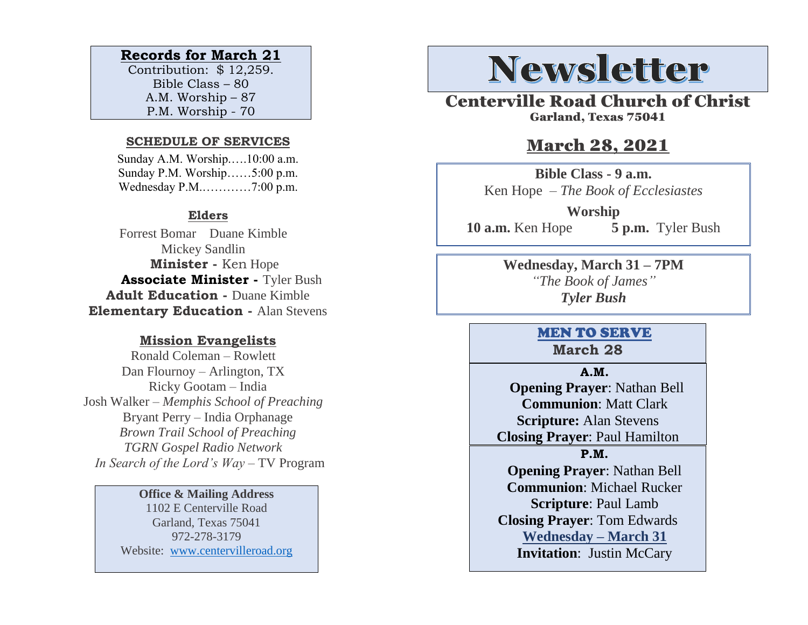#### **Records for March 21**

Contribution: \$ 12,259. Bible Class – 80 A.M. Worship – 87 P.M. Worship - 70

#### **SCHEDULE OF SERVICES**

 Sunday A.M. Worship.….10:00 a.m. Sunday P.M. Worship……5:00 p.m. Wednesday P.M.…………7:00 p.m.

#### **Elders**

Forrest Bomar Duane Kimble Mickey Sandlin  **Minister -** Ken Hope  **Associate Minister -** Tyler Bush **Adult Education -** Duane Kimble **Elementary Education -** Alan Stevens

#### **Mission Evangelists**

Ronald Coleman – Rowlett Dan Flournoy – Arlington, TX Ricky Gootam – India Josh Walker – *Memphis School of Preaching* Bryant Perry – India Orphanage *Brown Trail School of Preaching TGRN Gospel Radio Network In Search of the Lord's Way* – TV Program

#### **Office & Mailing Address**

1102 E Centerville Road Garland, Texas 75041 972-278-3179 Website: [www.centervilleroad.org](https://d.docs.live.net/97e199c461b763eb/Newsletter/News%202020/August%202020/www.centervilleroad.org)

# **Newsletter**

Centerville Road Church of Christ Garland, Texas 75041

### March 28, 2021

**Bible Class - 9 a.m.** Ken Hope *– The Book of Ecclesiastes*

**Worship 10 a.m.** Ken Hope **5 p.m.** Tyler Bush

> **Wednesday, March 31 – 7PM** *"The Book of James" Tyler Bush*

#### MEN TO SERVE **March 28**

#### **A.M.**

 **Opening Prayer**: Nathan Bell **Communion**: Matt Clark **Scripture:** Alan Stevens **Closing Prayer**: Paul Hamilton

**P.M.**

**Opening Prayer**: Nathan Bell **Communion**: Michael Rucker **Scripture**: Paul Lamb **Closing Prayer**: Tom Edwards **Wednesday – March 31 Invitation**: Justin McCary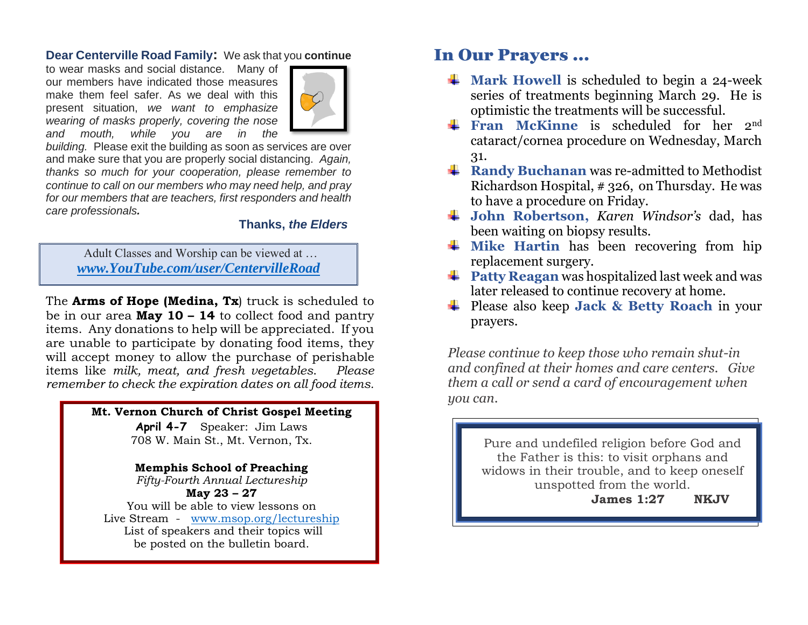#### **Dear Centerville Road Family:** We ask that you **continue**

to wear masks and social distance. Many of our members have indicated those measures make them feel safer. As we deal with this present situation, *we want to emphasize wearing of masks properly, covering the nose and mouth, while you are in the* 



*building.* Please exit the building as soon as services are over and make sure that you are properly social distancing. *Again, thanks so much for your cooperation, please remember to continue to call on our members who may need help, and pray for our members that are teachers, first responders and health care professionals.*

#### **Thanks,** *the Elders*

Adult Classes and Worship can be viewed at … *[www.YouTube.com/user/CentervilleRoad](http://www.youtube.com/user/CentervilleRoad)*

The **Arms of Hope (Medina, Tx**) truck is scheduled to be in our area **May 10 – 14** to collect food and pantry items. Any donations to help will be appreciated. If you are unable to participate by donating food items, they will accept money to allow the purchase of perishable items like *milk, meat, and fresh vegetables*. *Please remember to check the expiration dates on all food items.* 

#### **Mt. Vernon Church of Christ Gospel Meeting**

**April 4-7** Speaker: Jim Laws 708 W. Main St., Mt. Vernon, Tx.

**Memphis School of Preaching**  *Fifty-Fourth Annual Lectureship* **May 23 – 27** You will be able to view lessons on Live Stream - [www.msop.org/lectureship](https://d.docs.live.net/97e199c461b763eb/Newsletter/News%202021/March/www.msop.org/lectureship) List of speakers and their topics will be posted on the bulletin board.

### In Our Prayers …

- $\frac{1}{\sqrt{1}}$  Mark Howell is scheduled to begin a 24-week series of treatments beginning March 29. He is optimistic the treatments will be successful.
- **Fran McKinne** is scheduled for her 2<sup>nd</sup> cataract/cornea procedure on Wednesday, March 31.
- **Randy Buchanan** was re-admitted to Methodist Richardson Hospital, # 326, on Thursday. He was to have a procedure on Friday.
- **John Robertson,** *Karen Windsor's* dad, has been waiting on biopsy results.
- $\frac{1}{\sqrt{2}}$  Mike Hartin has been recovering from hip replacement surgery.
- **Patty Reagan** was hospitalized last week and was later released to continue recovery at home.
- Please also keep **Jack & Betty Roach** in your prayers.

*Please continue to keep those who remain shut-in and confined at their homes and care centers. Give them a call or send a card of encouragement when you can.* 

> Pure and undefiled religion before God and the Father is this: to visit orphans and widows in their trouble, and to keep oneself unspotted from the world.

 **James 1:27 NKJV**